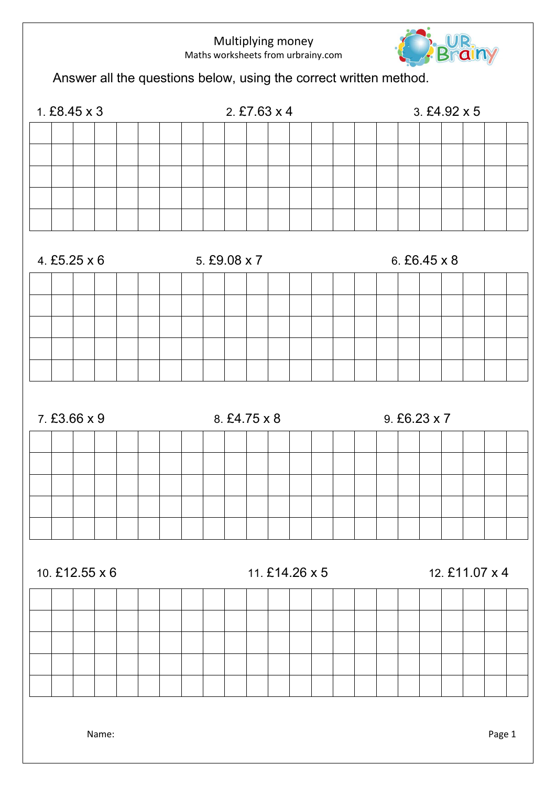

Answer all the questions below, using the correct written method.



Name: Page 1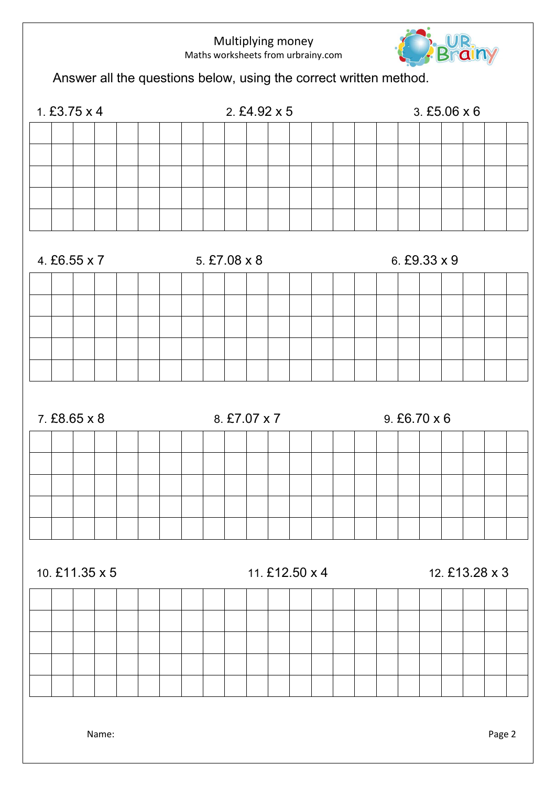

Answer all the questions below, using the correct written method.

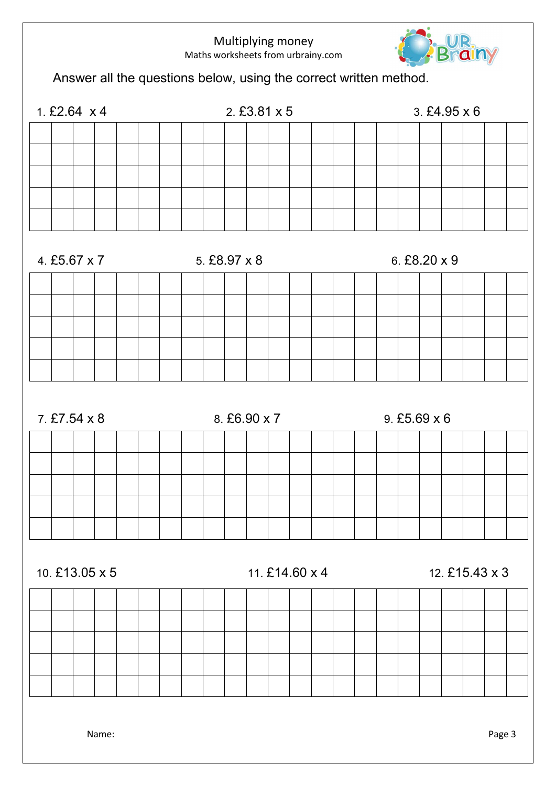

Answer all the questions below, using the correct written method.

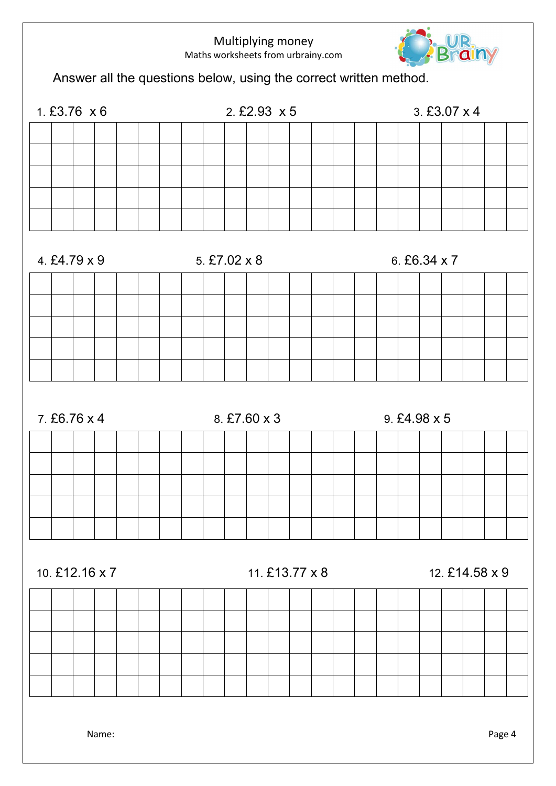

Answer all the questions below, using the correct written method.



Name: Page 4